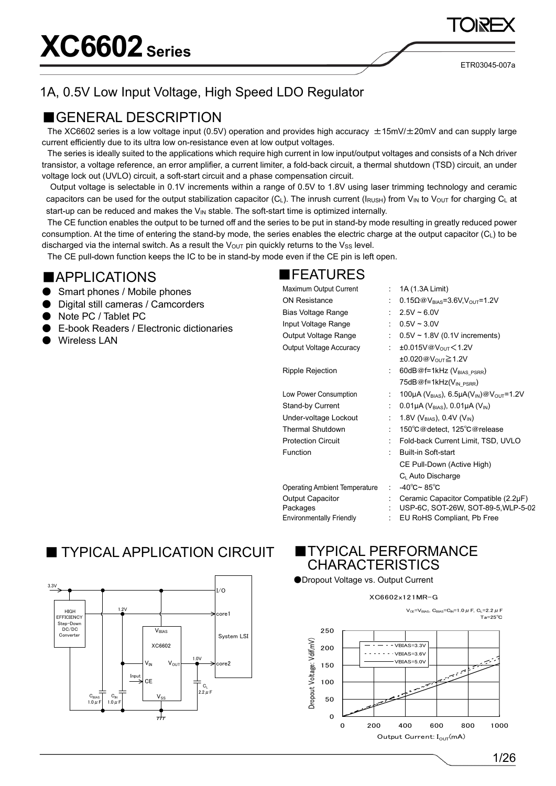ETR03045-007a

### 1A, 0.5V Low Input Voltage, High Speed LDO Regulator

### ■GENERAL DESCRIPTION

The XC6602 series is a low voltage input (0.5V) operation and provides high accuracy  $\pm 15$ mV/ $\pm 20$ mV and can supply large current efficiently due to its ultra low on-resistance even at low output voltages.

The series is ideally suited to the applications which require high current in low input/output voltages and consists of a Nch driver transistor, a voltage reference, an error amplifier, a current limiter, a fold-back circuit, a thermal shutdown (TSD) circuit, an under voltage lock out (UVLO) circuit, a soft-start circuit and a phase compensation circuit.

Output voltage is selectable in 0.1V increments within a range of 0.5V to 1.8V using laser trimming technology and ceramic capacitors can be used for the output stabilization capacitor (C<sub>L</sub>). The inrush current (I<sub>RUSH</sub>) from V<sub>IN</sub> to V<sub>OUT</sub> for charging C<sub>L</sub> at start-up can be reduced and makes the  $V_{\text{IN}}$  stable. The soft-start time is optimized internally.

The CE function enables the output to be turned off and the series to be put in stand-by mode resulting in greatly reduced power consumption. At the time of entering the stand-by mode, the series enables the electric charge at the output capacitor (CL) to be discharged via the internal switch. As a result the  $V_{\text{OUT}}$  pin quickly returns to the  $V_{SS}$  level.

The CE pull-down function keeps the IC to be in stand-by mode even if the CE pin is left open.

### ■APPLICATIONS

- Smart phones / Mobile phones
- Digital still cameras / Camcorders
- Note PC / Tablet PC
- E-book Readers / Electronic dictionaries
- **Wireless LAN**

### ■FEATURES

| Maximum Output Current               |                           | 1A (1.3A Limit)                                               |
|--------------------------------------|---------------------------|---------------------------------------------------------------|
| <b>ON Resistance</b>                 |                           | 0.15 $\Omega$ @V <sub>BIAS</sub> =3.6V,V <sub>OUT</sub> =1.2V |
| Bias Voltage Range                   |                           | $: 2.5V \sim 6.0V$                                            |
| Input Voltage Range                  |                           | $0.5V - 3.0V$                                                 |
| Output Voltage Range                 |                           | $\therefore$ 0.5V ~ 1.8V (0.1V increments)                    |
| Output Voltage Accuracy              | t.                        | $±0.015V@V_{OUT}$ < 1.2V                                      |
|                                      |                           | $±0.020@V_{OUT} \ge 1.2V$                                     |
| Ripple Rejection                     | ÷                         | 60dB@f=1kHz ( $V_{BIAS\ PSRR}$ )                              |
|                                      |                           | 75dB@f=1kHz(V <sub>IN PSRR</sub> )                            |
| Low Power Consumption                |                           | 100µA ( $V_{BIAS}$ ), 6.5µA( $V_{IN}$ ) $@V_{OUT}$ =1.2V      |
| Stand-by Current                     | t.                        | 0.01µA ( $V_{BIAS}$ ), 0.01µA ( $V_{IN}$ )                    |
| Under-voltage Lockout                | $\mathbb{R}^{\mathbb{Z}}$ | 1.8V ( $V_{BIAS}$ ), 0.4V ( $V_{IN}$ )                        |
| <b>Thermal Shutdown</b>              | ÷.                        | 150°C@detect, 125°C@release                                   |
| <b>Protection Circuit</b>            | ÷                         | Fold-back Current Limit, TSD, UVLO                            |
| Function                             | ۰.                        | <b>Built-in Soft-start</b>                                    |
|                                      |                           | CE Pull-Down (Active High)                                    |
|                                      |                           | C <sub>L</sub> Auto Discharge                                 |
| <b>Operating Ambient Temperature</b> | $\bullet$                 | $-40^{\circ}$ C ~ 85 $^{\circ}$ C                             |
| <b>Output Capacitor</b>              |                           | Ceramic Capacitor Compatible (2.2µF)                          |
| Packages                             |                           | USP-6C, SOT-26W, SOT-89-5, WLP-5-02                           |
| <b>Environmentally Friendly</b>      |                           | EU RoHS Compliant, Pb Free                                    |

### **TYPICAL APPLICATION CIRCUIT**



### **TYPICAL PERFORMANCE CHARACTERISTICS**

●Dropout Voltage vs. Output Current

#### XC6602x121MR-G

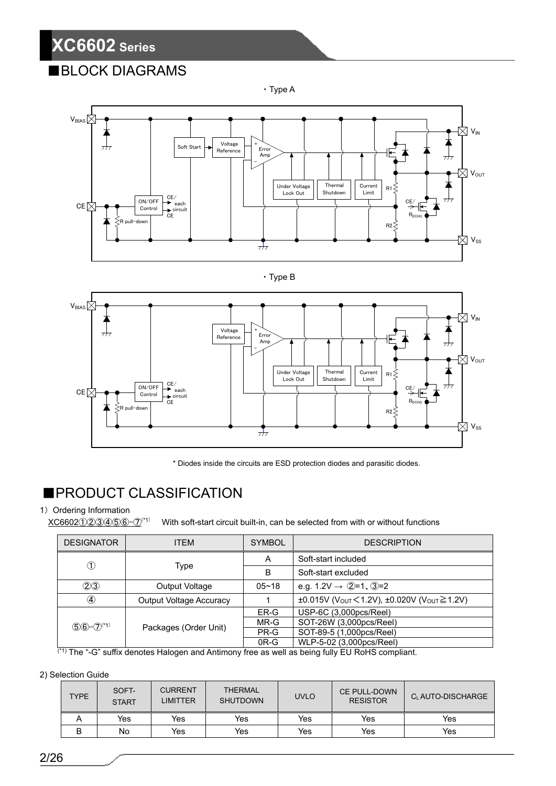### ■**BLOCK DIAGRAMS**







\* Diodes inside the circuits are ESD protection diodes and parasitic diodes.

## ■PRODUCT CLASSIFICATION

#### 1) Ordering Information

XC6602①②③④⑤⑥-⑦(\*1) With soft-start circuit built-in, can be selected from with or without functions

| <b>DESIGNATOR</b>                                            | <b>ITEM</b>                    | <b>SYMBOL</b> | <b>DESCRIPTION</b>                                                                   |
|--------------------------------------------------------------|--------------------------------|---------------|--------------------------------------------------------------------------------------|
| $^\circledR$                                                 | Type                           | A             | Soft-start included                                                                  |
|                                                              |                                | B             | Soft-start excluded                                                                  |
| (2)3                                                         | Output Voltage                 | $05 - 18$     | e.g. $1.2V \rightarrow (2)=1$ , $(3)=2$                                              |
| $\circled{4}$                                                | <b>Output Voltage Accuracy</b> |               | $\pm 0.015V$ (V <sub>OUT</sub> < 1.2V), $\pm 0.020V$ (V <sub>OUT</sub> $\geq 1.2V$ ) |
|                                                              |                                | ER-G          | USP-6C (3,000pcs/Reel)                                                               |
| $56 - 7$ <sup>(*1)</sup><br>$(*4)$ —<br>$\sim$ $\sim$ $\sim$ | Packages (Order Unit)          | MR-G          | SOT-26W (3,000pcs/Reel)                                                              |
|                                                              |                                | PR-G          | SOT-89-5 (1,000pcs/Reel)                                                             |
|                                                              | .<br>$\cdots$                  | $0R-G$        | WLP-5-02 (3,000pcs/Reel)                                                             |

 $^{\left( ^{\ast}\right) }$  The "-G" suffix denotes Halogen and Antimony free as well as being fully EU RoHS compliant.

#### 2) Selection Guide

| <b>TYPE</b> | SOFT-<br><b>START</b> | <b>CURRENT</b><br><b>LIMITTER</b> | <b>THERMAL</b><br><b>SHUTDOWN</b> | <b>UVLO</b> | <b>CE PULL-DOWN</b><br><b>RESISTOR</b> | C. AUTO-DISCHARGE |
|-------------|-----------------------|-----------------------------------|-----------------------------------|-------------|----------------------------------------|-------------------|
| A           | Yes                   | Yes                               | Yes                               | Yes         | Yes                                    | Yes               |
| В           | No                    | Yes                               | Yes                               | Yes         | Yes                                    | Yes               |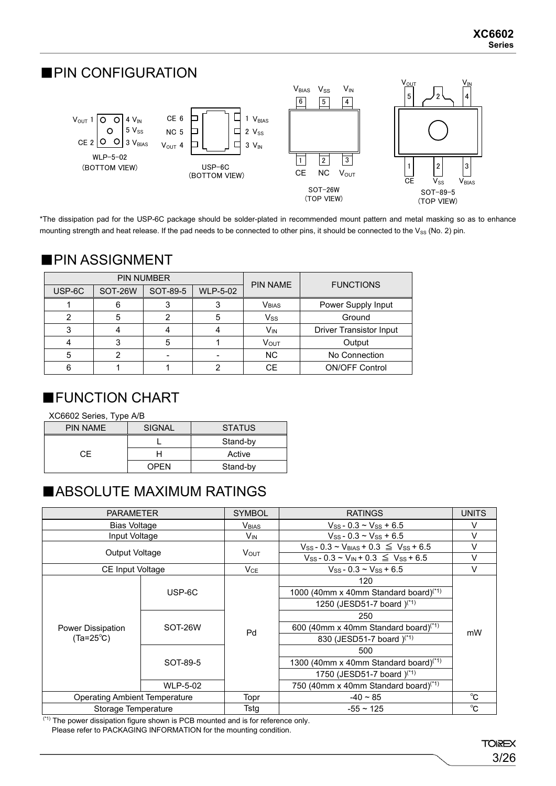### ■PIN CONFIGURATION



\*The dissipation pad for the USP-6C package should be solder-plated in recommended mount pattern and metal masking so as to enhance mounting strength and heat release. If the pad needs to be connected to other pins, it should be connected to the V<sub>SS</sub> (No. 2) pin.

### ■PIN ASSIGNMENT

|        |         | <b>PIN NUMBER</b> | <b>PIN NAME</b> | <b>FUNCTIONS</b> |                                |  |
|--------|---------|-------------------|-----------------|------------------|--------------------------------|--|
| USP-6C | SOT-26W | SOT-89-5          | <b>WLP-5-02</b> |                  |                                |  |
|        |         |                   |                 | <b>V</b> BIAS    | Power Supply Input             |  |
|        |         |                   | 5               | Vss              | Ground                         |  |
|        |         |                   |                 | V <sub>IN</sub>  | <b>Driver Transistor Input</b> |  |
|        |         |                   |                 | <b>VOUT</b>      | Output                         |  |
|        |         |                   |                 | <b>NC</b>        | No Connection                  |  |
|        |         |                   | ⌒               | <b>CE</b>        | <b>ON/OFF Control</b>          |  |

## ■FUNCTION CHART

XC6602 Series, Type A/B

| <b>PIN NAME</b> | <b>SIGNAL</b> | <b>STATUS</b> |
|-----------------|---------------|---------------|
| CF.             |               | Stand-by      |
|                 |               | Active        |
|                 | <b>OPFN</b>   | Stand-by      |

### ■ABSOLUTE MAXIMUM RATINGS

| <b>PARAMETER</b>                     |                 | <b>SYMBOL</b>   | <b>RATINGS</b>                                          | <b>UNITS</b> |  |
|--------------------------------------|-----------------|-----------------|---------------------------------------------------------|--------------|--|
| Bias Voltage                         |                 | Vbias           | $V_{SS}$ - 0.3 ~ $V_{SS}$ + 6.5                         | V            |  |
| Input Voltage                        |                 | V <sub>IN</sub> | $V_{SS}$ - 0.3 ~ $V_{SS}$ + 6.5                         | $\vee$       |  |
|                                      |                 |                 | $V_{SS}$ - 0.3 ~ $V_{BIAS}$ + 0.3 $\leq$ $V_{SS}$ + 6.5 | $\vee$       |  |
| Output Voltage                       |                 | <b>V</b> OUT    | $V_{SS}$ - 0.3 ~ $V_{IN}$ + 0.3 $\leq$ $V_{SS}$ + 6.5   | $\vee$       |  |
| <b>CE Input Voltage</b>              |                 | VCE             | $V_{SS}$ - 0.3 ~ $V_{SS}$ + 6.5                         | $\vee$       |  |
|                                      |                 |                 | 120                                                     |              |  |
|                                      | USP-6C          |                 | 1000 (40mm x 40mm Standard board) <sup>(*1)</sup>       |              |  |
|                                      |                 |                 | 1250 (JESD51-7 board) <sup>(*1)</sup>                   |              |  |
|                                      |                 |                 | 250                                                     |              |  |
| <b>Power Dissipation</b>             | SOT-26W         | Pd              | 600 (40mm x 40mm Standard board) $(1)$                  | mW           |  |
| $(Ta=25^{\circ}C)$                   |                 |                 | 830 (JESD51-7 board) <sup>(*1)</sup>                    |              |  |
|                                      |                 |                 | 500                                                     |              |  |
|                                      | SOT-89-5        |                 | 1300 (40mm x 40mm Standard board) <sup>(*1)</sup>       |              |  |
|                                      |                 |                 | 1750 (JESD51-7 board) <sup>(*1)</sup>                   |              |  |
|                                      | <b>WLP-5-02</b> |                 | 750 (40mm x 40mm Standard board) <sup>(*1)</sup>        |              |  |
| <b>Operating Ambient Temperature</b> |                 | Topr            | $-40 \sim 85$                                           | $^{\circ}C$  |  |
| Storage Temperature                  |                 | Tstq            | $-55 \sim 125$                                          | $^{\circ}C$  |  |

 $(1)$ <sup>(1)</sup>) The power dissipation figure shown is PCB mounted and is for reference only. Please refer to PACKAGING INFORMATION for the mounting condition.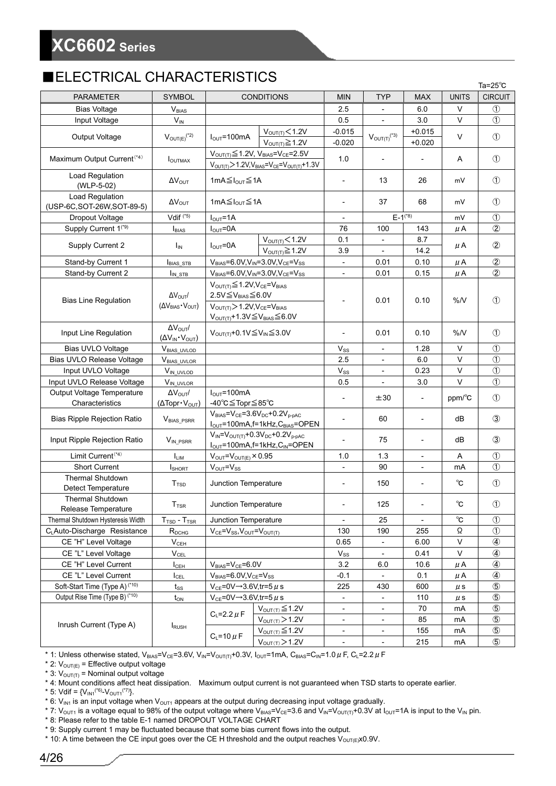### ■ELECTRICAL CHARACTERISTICS

|                                            |                                             |                                                                 |                                                                                              |                            |                              |                              |                     | Ta=25 $^\circ$ C |
|--------------------------------------------|---------------------------------------------|-----------------------------------------------------------------|----------------------------------------------------------------------------------------------|----------------------------|------------------------------|------------------------------|---------------------|------------------|
| <b>PARAMETER</b>                           | <b>SYMBOL</b>                               |                                                                 | <b>CONDITIONS</b>                                                                            | <b>MIN</b>                 | TYP                          | <b>MAX</b>                   | <b>UNITS</b>        | <b>CIRCUIT</b>   |
| <b>Bias Voltage</b>                        | V <sub>BIAS</sub>                           |                                                                 |                                                                                              | 2.5                        |                              | 6.0                          | $\vee$              | $\circled{1}$    |
| Input Voltage                              | $V_{IN}$                                    |                                                                 |                                                                                              | 0.5                        | $\blacksquare$               | 3.0                          | V                   | $\mathcal{F}$    |
|                                            |                                             |                                                                 | V <sub>OUT(T)</sub> < 1.2V                                                                   | $-0.015$                   |                              | $+0.015$                     |                     |                  |
| <b>Output Voltage</b>                      | $V_{OUT(E)}$ <sup>(*2)</sup>                | $I_{OUT} = 100mA$                                               | $V_{\text{OUT(T)}}{\ge}1.2V$                                                                 | $-0.020$                   | $V_{OUT(T)}$ <sup>(*3)</sup> | $+0.020$                     | V                   | $\circled{1}$    |
|                                            |                                             |                                                                 | $V_{\text{OUT(T)}}{\leq}1.2V$ , $V_{\text{BIAS}}=V_{\text{CE}}=2.5V$                         |                            |                              |                              |                     |                  |
| Maximum Output Current <sup>(*4)</sup>     | <b>I</b> OUTMAX                             |                                                                 | $V_{\text{OUT}(T)}$ > 1.2V, $V_{\text{BIAS}}$ = $V_{\text{CE}}$ = $V_{\text{OUT}(T)}$ + 1.3V | 1.0                        |                              | Ĭ.                           | Α                   | $\circled{1}$    |
| Load Regulation                            |                                             |                                                                 |                                                                                              |                            |                              |                              |                     |                  |
| (WLP-5-02)                                 | $\Delta V_{\text{OUT}}$                     | 1mA≦ $I_{OUT}$ ≤1A                                              |                                                                                              |                            | 13                           | 26                           | mV                  | $\circled{1}$    |
| Load Regulation                            |                                             |                                                                 |                                                                                              |                            |                              |                              |                     |                  |
| (USP-6C, SOT-26W, SOT-89-5)                | $\Delta V_{\text{OUT}}$                     | 1mA ≤ I <sub>OUT</sub> ≤ 1A                                     |                                                                                              |                            | 37                           | 68                           | mV                  | $\circled{1}$    |
| Dropout Voltage                            | Vdif <sup>(*5)</sup>                        | $IOUT=1A$                                                       |                                                                                              |                            | $E-1^{(48)}$                 |                              | mV                  | $\circled{1}$    |
| Supply Current 1 <sup>(*9)</sup>           | I <sub>BIAS</sub>                           | $I_{\text{OUT}} = 0A$                                           |                                                                                              | 76                         | 100                          | 143                          | μA                  | $\circled{2}$    |
|                                            |                                             |                                                                 | V <sub>OUT(T)</sub> < 1.2V                                                                   | 0.1                        |                              | 8.7                          |                     |                  |
| Supply Current 2                           | $I_{\text{IN}}$                             | $I_{\text{OUT}} = 0A$                                           | $V_{OUT(T)} \ge 1.2V$                                                                        | 3.9                        |                              | 14.2                         | μA                  | $^{\circledR}$   |
| Stand-by Current 1                         | $IBIAS_STB$                                 |                                                                 | $V_{BIAS} = 6.0 V, V_{IN} = 3.0 V, V_{CE} = V_{SS}$                                          | $\overline{\phantom{a}}$   | 0.01                         | 0.10                         | μA                  | $^{\circledR}$   |
| Stand-by Current 2                         | $I_{IN\_STB}$                               |                                                                 | $V_{BIAS} = 6.0 V, V_{IN} = 3.0 V, V_{CE} = V_{SS}$                                          |                            | 0.01                         | 0.15                         | $\mu$ A             | $\circled{2}$    |
|                                            |                                             | $V_{\text{OUT(T)}} \leq 1.2 V, V_{\text{CE}} = V_{\text{BIAS}}$ |                                                                                              |                            |                              |                              |                     |                  |
|                                            | $\Delta V_{\text{OUT}}/$                    | $2.5V \leq V_{BIAS} \leq 6.0V$                                  |                                                                                              |                            |                              |                              |                     |                  |
| <b>Bias Line Regulation</b>                | $(\Delta V_{BIAS} \cdot V_{OUT})$           | $VOUT(T) > 1.2V, VCE=VBIAS$                                     |                                                                                              |                            | 0.01                         | 0.10                         | %N                  | $\circ$          |
|                                            |                                             | $V_{\text{OUT}(T)} + 1.3V \leq V_{\text{BIAS}} \leq 6.0V$       |                                                                                              |                            |                              |                              |                     |                  |
|                                            | $\Delta V_{\text{OUT}}/$                    |                                                                 |                                                                                              |                            |                              |                              |                     |                  |
| Input Line Regulation                      | $(\Delta V_{IN} \cdot V_{OUT})$             | $V_{\text{OUT(T)}} + 0.1V \leq V_{\text{IN}} \leq 3.0V$         |                                                                                              | $\overline{\phantom{a}}$   | 0.01                         | 0.10                         | %N                  | $\circ$          |
| Bias UVLO Voltage                          | V <sub>BIAS UVLOD</sub>                     |                                                                 |                                                                                              | $V_{SS}$                   | $\overline{\phantom{a}}$     | 1.28                         | V                   | $\circled{1}$    |
| Bias UVLO Release Voltage                  | VBIAS UVLOR                                 |                                                                 |                                                                                              | 2.5                        | $\overline{\phantom{a}}$     | 6.0                          | V                   | $\circled{1}$    |
| Input UVLO Voltage                         | $V_{IN}$ UVLOD                              |                                                                 |                                                                                              | $V_{SS}$                   | $\overline{\phantom{a}}$     | 0.23                         | V                   | $\circled{1}$    |
| Input UVLO Release Voltage                 | VIN UVLOR                                   |                                                                 |                                                                                              | 0.5                        | $\overline{\phantom{a}}$     | 3.0                          | V                   | $\circled{1}$    |
| Output Voltage Temperature                 | $\Delta V_{\text{OUT}}/$                    | $I_{OUT} = 100mA$                                               |                                                                                              |                            |                              |                              |                     |                  |
| Characteristics                            | $(\Delta \text{Topr} \cdot V_{\text{OUT}})$ | -40℃≦Topr≦85℃                                                   |                                                                                              | $\overline{a}$             | ±30                          | $\overline{\phantom{a}}$     | ppm/°C              | $\circled{1}$    |
|                                            |                                             | $V_{BIAS}=V_{CE}=3.6V_{DC}+0.2V_{p-pAC}$                        |                                                                                              |                            | 60                           | $\blacksquare$               | dB                  | $\circled{3}$    |
| <b>Bias Ripple Rejection Ratio</b>         | V <sub>BIAS</sub> PSRR                      |                                                                 | $IOUT=100mA, f=1kHz, CBIAS=OPEN$                                                             | $\overline{\phantom{a}}$   |                              |                              |                     |                  |
| Input Ripple Rejection Ratio               | $V_{IN\_PSRR}$                              |                                                                 | $V_{IN} = V_{OUT(T)} + 0.3V_{DC} + 0.2V_{P-DAC}$                                             |                            | 75                           | $\overline{a}$               | dB                  | $\circled{3}$    |
|                                            |                                             |                                                                 | $I_{OUT}$ =100mA,f=1kHz, $C_{IN}$ =OPEN                                                      |                            |                              |                              |                     |                  |
| Limit Current <sup>(*4)</sup>              | <b>ILIM</b>                                 | $V_{\text{OUT}}=V_{\text{OUT(E)}}\times 0.95$                   |                                                                                              | 1.0                        | 1.3                          | $\blacksquare$               | Α                   | $\circled{1}$    |
| <b>Short Current</b>                       | <b>I</b> SHORT                              | $V_{OUT} = V_{SS}$                                              |                                                                                              | $\overline{\phantom{a}}$   | 90                           | $\overline{\phantom{a}}$     | mA                  | $\circled{1}$    |
| <b>Thermal Shutdown</b>                    | T <sub>TSD</sub>                            | Junction Temperature                                            |                                                                                              | $\overline{\phantom{a}}$   | 150                          | $\blacksquare$               | $^{\circ}$ C        | $\circled{1}$    |
| Detect Temperature                         |                                             |                                                                 |                                                                                              |                            |                              |                              |                     |                  |
| Thermal Shutdown                           | T <sub>TSR</sub>                            | Junction Temperature                                            |                                                                                              | $\overline{\phantom{a}}$   | 125                          | $\qquad \qquad \blacksquare$ | $^{\circ}\!{\rm C}$ | $\circled{1}$    |
| Release Temperature                        |                                             |                                                                 |                                                                                              |                            |                              |                              |                     |                  |
| Thermal Shutdown Hysteresis Width          | $TTSD - TTSR$                               | Junction Temperature                                            |                                                                                              |                            | 25                           |                              | $^\circ \text{C}$   | $\circled{1}$    |
| CLAuto-Discharge Resistance                | R <sub>DCHG</sub>                           | $V_{CE} = V_{SS}$ , $V_{OUT} = V_{OUT(T)}$                      |                                                                                              | 130                        | 190                          | 255                          | Ω                   | $\circled{1}$    |
| CE "H" Level Voltage                       | $V_{CEH}$                                   |                                                                 |                                                                                              | 0.65                       |                              | 6.00                         | V                   | 4                |
| CE "L" Level Voltage                       | $V_{\text{CEL}}$                            |                                                                 |                                                                                              | $\mathsf{V}_{\mathsf{SS}}$ |                              | 0.41                         | V                   | $\circled{4}$    |
| CE "H" Level Current                       | $I_{\text{CEH}}$                            | $V_{BIAS}=V_{CE}=6.0V$                                          |                                                                                              | 3.2                        | 6.0                          | 10.6                         | μA                  | $\circled{4}$    |
| CE "L" Level Current                       | ICEL                                        | $V_{BIAS}=6.0V, V_{CE}=V_{SS}$                                  |                                                                                              | $-0.1$                     |                              | 0.1                          | μA                  | $\circled{4}$    |
| Soft-Start Time (Type A) (*10)             | $t_{\rm SS}$                                | V <sub>CE</sub> =0V $\rightarrow$ 3.6V,tr=5 $\mu$ s             |                                                                                              | 225                        | 430                          | 600                          | $\mu$ s             | $\circledS$      |
| Output Rise Time (Type B) <sup>(*10)</sup> | $t_{ON}$                                    | $V_{CE}$ =0V $\rightarrow$ 3.6V,tr=5 $\mu$ s                    |                                                                                              |                            |                              | 110                          | $\mu$ s             | $\circledS$      |
|                                            |                                             | $C_L = 2.2 \mu F$                                               | $V_{OUT(T)} \leq 1.2V$                                                                       |                            |                              | 70                           | mA                  | $\circledS$      |
| Inrush Current (Type A)                    | <b>I</b> RUSH                               |                                                                 | V <sub>OUT(T)</sub> > 1.2V                                                                   |                            |                              | 85                           | mA                  | $\circledS$      |
|                                            |                                             | $C_L = 10 \mu F$                                                | $V_{OUT(T)}{\leq}1.2V$                                                                       |                            |                              | 155                          | mA                  | $\circledS$      |
|                                            |                                             |                                                                 | V <sub>OUT(T)</sub> > 1.2V                                                                   | $\overline{\phantom{a}}$   |                              | 215                          | mA                  | $\circledS$      |

\* 1: Unless otherwise stated,  $V_{BIAS}=V_{CE}=3.6V$ ,  $V_{IN}=V_{OUT(T)}+0.3V$ ,  $I_{OUT}=1mA$ ,  $C_{BIAS}=C_{IN}=1.0 \ \mu$  F,  $C_{L}=2.2 \ \mu$  F

\* 2:  $V_{\text{OUT(E)}}$  = Effective output voltage

\* 3:  $V_{\text{OUT(T)}}$  = Nominal output voltage

\* 4: Mount conditions affect heat dissipation. Maximum output current is not guaranteed when TSD starts to operate earlier.

\* 5: Vdif = { $V_{IN1}$ <sup>(\*6)</sup>- $V_{OUT1}$ <sup>(\*7)</sup>}.

\* 6: V<sub>IN1</sub> is an input voltage when V<sub>OUT1</sub> appears at the output during decreasing input voltage gradually.

\* 7:  $V_{\text{OUT1}}$  is a voltage equal to 98% of the output voltage where  $V_{\text{BIAS}}=V_{\text{CE}}=3.6$  and  $V_{\text{IN}}=V_{\text{OUT(T)}}+0.3V$  at  $I_{\text{OUT}}=1$ A is input to the  $V_{\text{IN}}$  pin.

\* 8: Please refer to the table E-1 named DROPOUT VOLTAGE CHART

\* 9: Supply current 1 may be fluctuated because that some bias current flows into the output.

 $*$  10: A time between the CE input goes over the CE H threshold and the output reaches  $V_{\text{OUT(E)}X}$ 0.9V.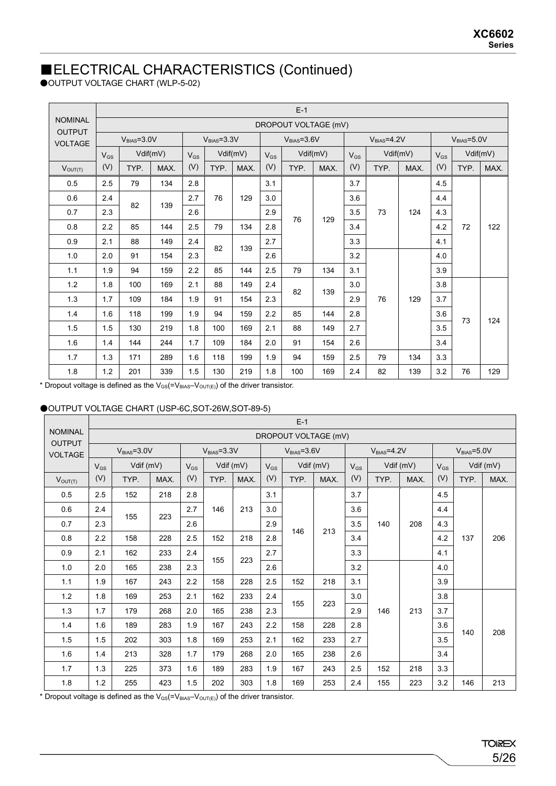### ■ELECTRICAL CHARACTERISTICS (Continued)

●OUTPUT VOLTAGE CHART (WLP-5-02)

|                                 |          | $E-1$                |          |          |              |          |          |              |          |          |              |          |          |              |          |
|---------------------------------|----------|----------------------|----------|----------|--------------|----------|----------|--------------|----------|----------|--------------|----------|----------|--------------|----------|
| <b>NOMINAL</b><br><b>OUTPUT</b> |          | DROPOUT VOLTAGE (mV) |          |          |              |          |          |              |          |          |              |          |          |              |          |
| <b>VOLTAGE</b>                  |          | $VBIAS=3.0V$         |          |          | $VBIAS=3.3V$ |          |          | $VBIAS=3.6V$ |          |          | $VBIAS=4.2V$ |          |          | $VBIAS=5.0V$ |          |
|                                 | $V_{GS}$ |                      | Vdif(mV) | $V_{GS}$ |              | Vdif(mV) | $V_{GS}$ |              | Vdif(mV) | $V_{GS}$ |              | Vdif(mV) | $V_{GS}$ |              | Vdif(mV) |
| $V_{OUT(T)}$                    | (V)      | TYP.                 | MAX.     | (V)      | TYP.         | MAX.     | (V)      | TYP.         | MAX.     | (V)      | TYP.         | MAX.     | (V)      | TYP.         | MAX.     |
| 0.5                             | 2.5      | 79                   | 134      | 2.8      |              |          | 3.1      |              |          | 3.7      |              |          | 4.5      |              |          |
| 0.6                             | 2.4      |                      |          | 2.7      | 76           | 129      | 3.0      |              |          | 3.6      |              |          | 4.4      |              |          |
| 0.7                             | 2.3      | 82                   | 139      | 2.6      |              |          | 2.9      | 76           | 129      | 3.5      | 73           | 124      | 4.3      |              |          |
| 0.8                             | 2.2      | 85                   | 144      | 2.5      | 79           | 134      | 2.8      |              |          | 3.4      |              |          | 4.2      | 72           | 122      |
| 0.9                             | 2.1      | 88                   | 149      | 2.4      | 82           | 139      | 2.7      |              |          | 3.3      |              |          | 4.1      |              |          |
| 1.0                             | 2.0      | 91                   | 154      | 2.3      |              |          | 2.6      |              |          | 3.2      |              |          | 4.0      |              |          |
| 1.1                             | 1.9      | 94                   | 159      | 2.2      | 85           | 144      | 2.5      | 79           | 134      | 3.1      |              |          | 3.9      |              |          |
| 1.2                             | 1.8      | 100                  | 169      | 2.1      | 88           | 149      | 2.4      | 82           | 139      | 3.0      |              |          | 3.8      |              |          |
| 1.3                             | 1.7      | 109                  | 184      | 1.9      | 91           | 154      | 2.3      |              |          | 2.9      | 76           | 129      | 3.7      |              |          |
| 1.4                             | 1.6      | 118                  | 199      | 1.9      | 94           | 159      | 2.2      | 85           | 144      | 2.8      |              |          | 3.6      | 73           | 124      |
| 1.5                             | 1.5      | 130                  | 219      | 1.8      | 100          | 169      | 2.1      | 88           | 149      | 2.7      |              |          | 3.5      |              |          |
| 1.6                             | 1.4      | 144                  | 244      | 1.7      | 109          | 184      | 2.0      | 91           | 154      | 2.6      |              |          | 3.4      |              |          |
| 1.7                             | 1.3      | 171                  | 289      | 1.6      | 118          | 199      | 1.9      | 94           | 159      | 2.5      | 79           | 134      | 3.3      |              |          |
| 1.8                             | 1.2      | 201                  | 339      | 1.5      | 130          | 219      | 1.8      | 100          | 169      | 2.4      | 82           | 139      | 3.2      | 76           | 129      |

\* Dropout voltage is defined as the  $V_{GS}$ (= $V_{BIAS}-V_{OUT(E)}$ ) of the driver transistor.

#### ●OUTPUT VOLTAGE CHART (USP-6C,SOT-26W,SOT-89-5)

|                                 |          | $E-1$                |      |          |              |      |          |              |           |          |              |           |          |              |           |  |
|---------------------------------|----------|----------------------|------|----------|--------------|------|----------|--------------|-----------|----------|--------------|-----------|----------|--------------|-----------|--|
| <b>NOMINAL</b><br><b>OUTPUT</b> |          | DROPOUT VOLTAGE (mV) |      |          |              |      |          |              |           |          |              |           |          |              |           |  |
| <b>VOLTAGE</b>                  |          | $VBIAS=3.0V$         |      |          | $VBIAS=3.3V$ |      |          | $VBIAS=3.6V$ |           |          | $VBIAS=4.2V$ |           |          | $VBIAS=5.0V$ |           |  |
|                                 | $V_{GS}$ | Vdif (mV)            |      | $V_{GS}$ | Vdif (mV)    |      | $V_{GS}$ |              | Vdif (mV) | $V_{GS}$ |              | Vdif (mV) | $V_{GS}$ |              | Vdif (mV) |  |
| $V_{OUT(T)}$                    | (V)      | TYP.                 | MAX. | (V)      | TYP.         | MAX. | (V)      | TYP.         | MAX.      | (V)      | TYP.         | MAX.      | (V)      | TYP.         | MAX.      |  |
| 0.5                             | 2.5      | 152                  | 218  | 2.8      |              |      | 3.1      |              |           | 3.7      |              |           | 4.5      |              |           |  |
| 0.6                             | 2.4      |                      |      | 2.7      | 146          | 213  | 3.0      |              |           | 3.6      |              |           | 4.4      |              |           |  |
| 0.7                             | 2.3      | 155                  | 223  | 2.6      |              |      | 2.9      | 146          | 213       | 3.5      | 140          | 208       | 4.3      |              |           |  |
| 0.8                             | 2.2      | 158                  | 228  | 2.5      | 152          | 218  | 2.8      |              |           | 3.4      |              |           | 4.2      | 137          | 206       |  |
| 0.9                             | 2.1      | 162                  | 233  | 2.4      | 155          | 223  | 2.7      |              |           | 3.3      |              |           | 4.1      |              |           |  |
| 1.0                             | 2.0      | 165                  | 238  | 2.3      |              |      | 2.6      |              |           | 3.2      |              |           | 4.0      |              |           |  |
| 1.1                             | 1.9      | 167                  | 243  | 2.2      | 158          | 228  | 2.5      | 152          | 218       | 3.1      |              |           | 3.9      |              |           |  |
| 1.2                             | 1.8      | 169                  | 253  | 2.1      | 162          | 233  | 2.4      | 155          | 223       | 3.0      |              |           | 3.8      |              |           |  |
| 1.3                             | 1.7      | 179                  | 268  | 2.0      | 165          | 238  | 2.3      |              |           | 2.9      | 146          | 213       | 3.7      |              |           |  |
| 1.4                             | 1.6      | 189                  | 283  | 1.9      | 167          | 243  | 2.2      | 158          | 228       | 2.8      |              |           | 3.6      | 140          | 208       |  |
| 1.5                             | 1.5      | 202                  | 303  | 1.8      | 169          | 253  | 2.1      | 162          | 233       | 2.7      |              |           | 3.5      |              |           |  |
| 1.6                             | 1.4      | 213                  | 328  | 1.7      | 179          | 268  | 2.0      | 165          | 238       | 2.6      |              |           | 3.4      |              |           |  |
| 1.7                             | 1.3      | 225                  | 373  | 1.6      | 189          | 283  | 1.9      | 167          | 243       | 2.5      | 152          | 218       | 3.3      |              |           |  |
| 1.8                             | 1.2      | 255                  | 423  | 1.5      | 202          | 303  | 1.8      | 169          | 253       | 2.4      | 155          | 223       | 3.2      | 146          | 213       |  |

\* Dropout voltage is defined as the  $V_{GS}$ (= $V_{BIAS}-V_{OUT(E)}$ ) of the driver transistor.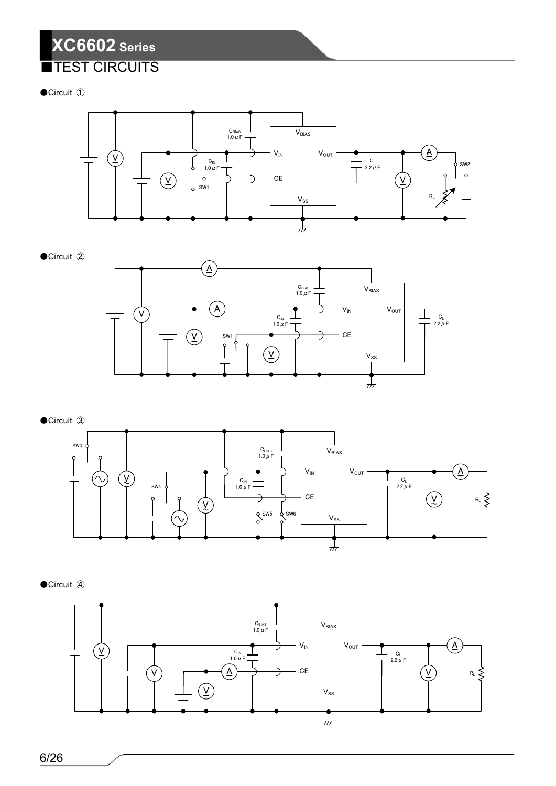## **XC6602 Series TEST CIRCUITS**

●Circuit ①



#### ●Circuit 2



●Circuit **③** SW3  $\mathsf{V}_{\mathsf{BIAS}}$  $C_{\text{BIAS}}$ <br>1.0  $\mu$  F  $V_{IN}$   $V_{OUT}$ A  $\Lambda$ V  $C_{IN}$ <br>1.0  $\mu$  F  $C_{\rm L}$ <br>2.2  $\mu$  F SW4 Τ **CE**  $R_L \leq$  $\begin{array}{c} \begin{array}{c} \downarrow \\ \downarrow \end{array} \end{array}$   $\begin{array}{c} \downarrow \\ \downarrow \end{array}$   $\begin{array}{c} \downarrow \\ \downarrow \end{array}$   $\begin{array}{c} \downarrow \\ \downarrow \end{array}$ SW5 SW6  $V_{SS}$  $\frac{1}{\sqrt{2}}$ 

●Circuit 4

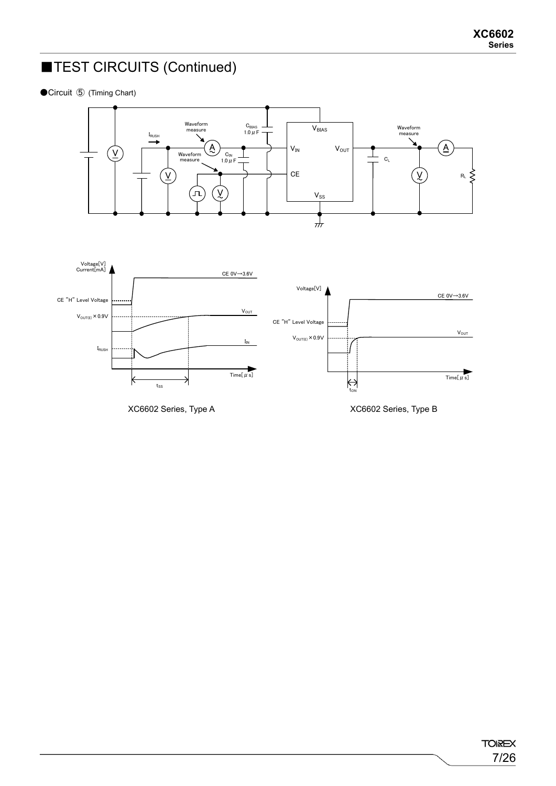### ■TEST CIRCUITS (Continued)

●Circuit 5 (Timing Chart)



XC6602 Series, Type A XC6602 Series, Type B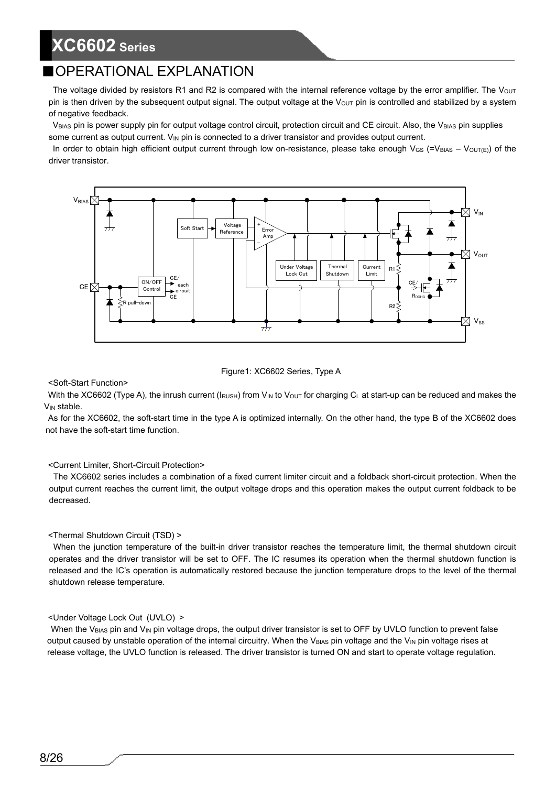### ■OPERATIONAL EXPLANATION

The voltage divided by resistors R1 and R2 is compared with the internal reference voltage by the error amplifier. The  $V_{\text{OUT}}$ pin is then driven by the subsequent output signal. The output voltage at the  $V_{OUT}$  pin is controlled and stabilized by a system of negative feedback.

VBIAS pin is power supply pin for output voltage control circuit, protection circuit and CE circuit. Also, the VBIAS pin supplies some current as output current. V<sub>IN</sub> pin is connected to a driver transistor and provides output current.

In order to obtain high efficient output current through low on-resistance, please take enough V<sub>GS</sub> (=V<sub>BIAS</sub> – V<sub>OUT(E)</sub>) of the driver transistor.



#### Figure1: XC6602 Series, Type A

<Soft-Start Function>

With the XC6602 (Type A), the inrush current ( $I_{RUSH}$ ) from  $V_{IN}$  to  $V_{OUT}$  for charging  $C_L$  at start-up can be reduced and makes the V<sub>IN</sub> stable.

As for the XC6602, the soft-start time in the type A is optimized internally. On the other hand, the type B of the XC6602 does not have the soft-start time function.

#### <Current Limiter, Short-Circuit Protection>

The XC6602 series includes a combination of a fixed current limiter circuit and a foldback short-circuit protection. When the output current reaches the current limit, the output voltage drops and this operation makes the output current foldback to be decreased.

#### <Thermal Shutdown Circuit (TSD) >

When the junction temperature of the built-in driver transistor reaches the temperature limit, the thermal shutdown circuit operates and the driver transistor will be set to OFF. The IC resumes its operation when the thermal shutdown function is released and the IC's operation is automatically restored because the junction temperature drops to the level of the thermal shutdown release temperature.

#### <Under Voltage Lock Out (UVLO) >

When the V<sub>BIAS</sub> pin and V<sub>IN</sub> pin voltage drops, the output driver transistor is set to OFF by UVLO function to prevent false output caused by unstable operation of the internal circuitry. When the V<sub>BIAS</sub> pin voltage and the V<sub>IN</sub> pin voltage rises at release voltage, the UVLO function is released. The driver transistor is turned ON and start to operate voltage regulation.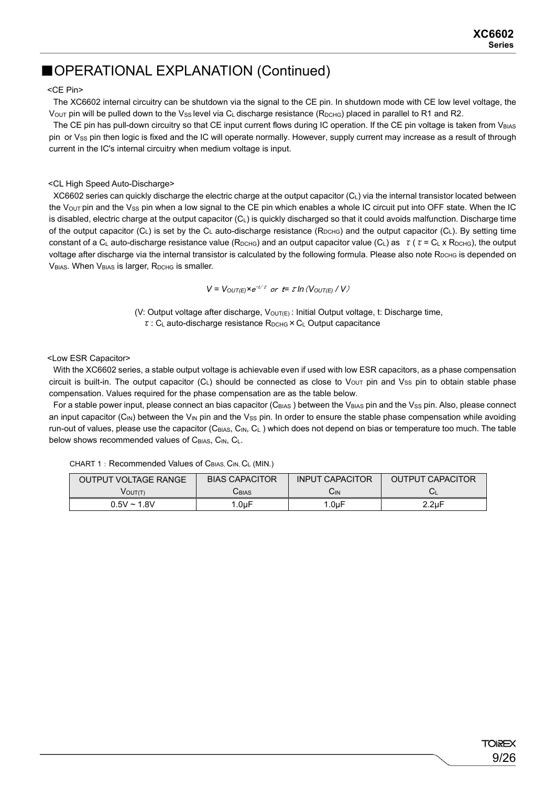### ■OPERATIONAL EXPLANATION (Continued)

#### <CE Pin>

The XC6602 internal circuitry can be shutdown via the signal to the CE pin. In shutdown mode with CE low level voltage, the Vout pin will be pulled down to the Vss level via C<sub>L</sub> discharge resistance (R<sub>DCHG</sub>) placed in parallel to R1 and R2.

The CE pin has pull-down circuitry so that CE input current flows during IC operation. If the CE pin voltage is taken from V<sub>BIAS</sub> pin or  $V_{SS}$  pin then logic is fixed and the IC will operate normally. However, supply current may increase as a result of through current in the IC's internal circuitry when medium voltage is input.

#### <CL High Speed Auto-Discharge>

XC6602 series can quickly discharge the electric charge at the output capacitor (CL) via the internal transistor located between the V<sub>OUT</sub> pin and the Vss pin when a low signal to the CE pin which enables a whole IC circuit put into OFF state. When the IC is disabled, electric charge at the output capacitor  $(C<sub>L</sub>)$  is quickly discharged so that it could avoids malfunction. Discharge time of the output capacitor (C<sub>L</sub>) is set by the C<sub>L</sub> auto-discharge resistance (R<sub>DCHG</sub>) and the output capacitor (C<sub>L</sub>). By setting time constant of a C<sub>L</sub> auto-discharge resistance value (R<sub>DCHG</sub>) and an output capacitor value (C<sub>L</sub>) as  $\tau$  ( $\tau$  = C<sub>L</sub> x R<sub>DCHG</sub>), the output voltage after discharge via the internal transistor is calculated by the following formula. Please also note R<sub>DCHG</sub> is depended on VBIAS. When VBIAS is larger, RDCHG is smaller.

*V* =  $V_{OUT(E)} \times e^{-t/\tau}$  or  $t = \tau ln(V_{OUT(E)}/V)$ 

(V: Output voltage after discharge,  $V_{\text{OUT}(E)}$ : Initial Output voltage, t: Discharge time,  $\tau$ : C<sub>L</sub> auto-discharge resistance R<sub>DCHG</sub>  $\times$  C<sub>L</sub> Output capacitance

#### <Low ESR Capacitor>

With the XC6602 series, a stable output voltage is achievable even if used with low ESR capacitors, as a phase compensation circuit is built-in. The output capacitor  $(C_L)$  should be connected as close to V<sub>OUT</sub> pin and Vss pin to obtain stable phase compensation. Values required for the phase compensation are as the table below.

For a stable power input, please connect an bias capacitor (C<sub>BIAS</sub>) between the V<sub>BIAS</sub> pin and the V<sub>SS</sub> pin. Also, please connect an input capacitor (C<sub>IN</sub>) between the V<sub>IN</sub> pin and the V<sub>SS</sub> pin. In order to ensure the stable phase compensation while avoiding run-out of values, please use the capacitor ( $C_{\text{BIAS}}$ ,  $C_{\text{IN}}$ ,  $C_{\text{L}}$ ) which does not depend on bias or temperature too much. The table below shows recommended values of C<sub>BIAS</sub>, C<sub>IN</sub>, C<sub>L</sub>.

CHART 1: Recommended Values of CBIAS, CIN, CL (MIN.)

| OUTPUT VOLTAGE RANGE | <b>BIAS CAPACITOR</b>      | <b>INPUT CAPACITOR</b> | <b>OUTPUT CAPACITOR</b> |
|----------------------|----------------------------|------------------------|-------------------------|
| VOUT(T)              | $\mathsf{\dot{\cup}}$ BIAS | ÜΜ                     |                         |
| $0.5V \sim 1.8V$     | 1.0µF                      | $1.0\mu F$             | $2.2\nu F$              |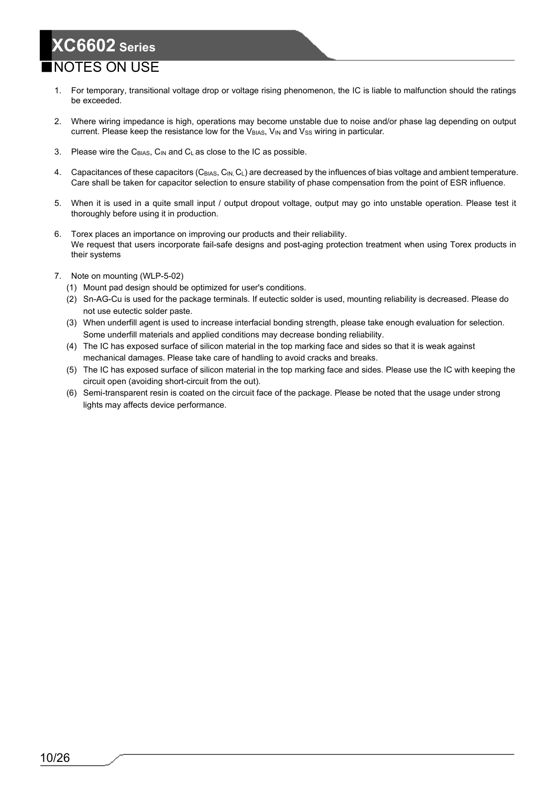## **XC6602 Series** ■NOTES ON USE

- 1. For temporary, transitional voltage drop or voltage rising phenomenon, the IC is liable to malfunction should the ratings be exceeded.
- 2. Where wiring impedance is high, operations may become unstable due to noise and/or phase lag depending on output current. Please keep the resistance low for the VBIAS, VIN and Vss wiring in particular.
- 3. Please wire the  $C_{B|AS}$ ,  $C_{IN}$  and  $C_L$  as close to the IC as possible.
- 4. Capacitances of these capacitors (C<sub>BIAS</sub>, C<sub>IN,</sub> C<sub>L</sub>) are decreased by the influences of bias voltage and ambient temperature. Care shall be taken for capacitor selection to ensure stability of phase compensation from the point of ESR influence.
- 5. When it is used in a quite small input / output dropout voltage, output may go into unstable operation. Please test it thoroughly before using it in production.
- 6. Torex places an importance on improving our products and their reliability. We request that users incorporate fail-safe designs and post-aging protection treatment when using Torex products in their systems
- 7. Note on mounting (WLP-5-02)
	- (1) Mount pad design should be optimized for user's conditions.
	- (2) Sn-AG-Cu is used for the package terminals. If eutectic solder is used, mounting reliability is decreased. Please do not use eutectic solder paste.
	- (3) When underfill agent is used to increase interfacial bonding strength, please take enough evaluation for selection. Some underfill materials and applied conditions may decrease bonding reliability.
	- (4) The IC has exposed surface of silicon material in the top marking face and sides so that it is weak against mechanical damages. Please take care of handling to avoid cracks and breaks.
	- (5) The IC has exposed surface of silicon material in the top marking face and sides. Please use the IC with keeping the circuit open (avoiding short-circuit from the out).
	- (6) Semi-transparent resin is coated on the circuit face of the package. Please be noted that the usage under strong lights may affects device performance.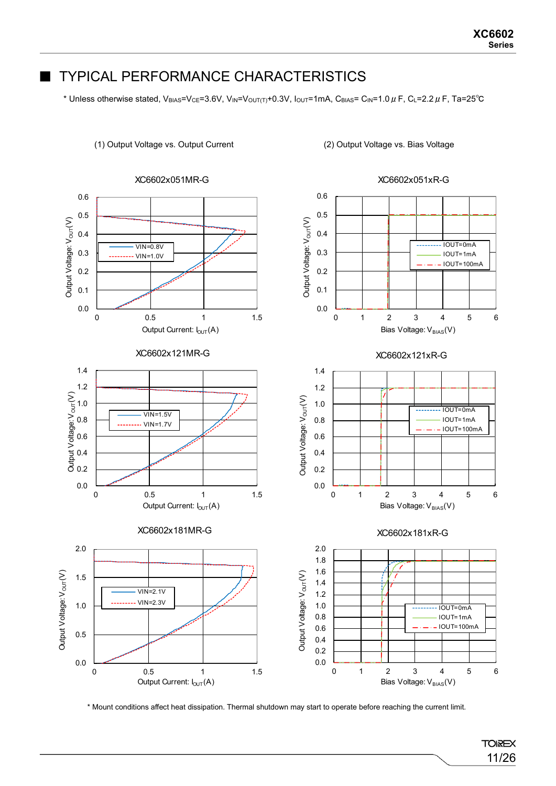### **TYPICAL PERFORMANCE CHARACTERISTICS**

\* Unless otherwise stated, VBIAS=VcE=3.6V, VIN=VOUT(T)+0.3V, IOUT=1mA, CBIAS= CIN=1.0 μF, CL=2.2 μF, Ta=25°C



\* Mount conditions affect heat dissipation. Thermal shutdown may start to operate before reaching the current limit.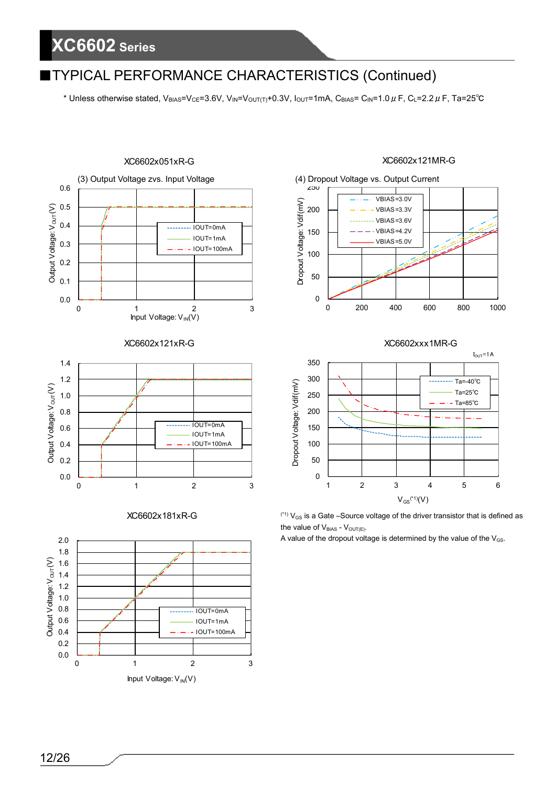### ■TYPICAL PERFORMANCE CHARACTERISTICS (Continued)

\* Unless otherwise stated, V<sub>BIAS</sub>=V<sub>CE</sub>=3.6V, V<sub>IN</sub>=V<sub>OUT(T)</sub>+0.3V, I<sub>OUT</sub>=1mA, C<sub>BIAS</sub>= C<sub>IN</sub>=1.0  $\mu$  F, C<sub>L</sub>=2.2  $\mu$  F, Ta=25°C



#### XC6602x121xR-G



#### XC6602x181xR-G







#### XC6602xxx1MR-G



 $(1)$  V<sub>GS</sub> is a Gate –Source voltage of the driver transistor that is defined as the value of  $V_{BIAS}$  -  $V_{OUT(E)}$ .

A value of the dropout voltage is determined by the value of the  $V_{GS}$ .

#### 12/26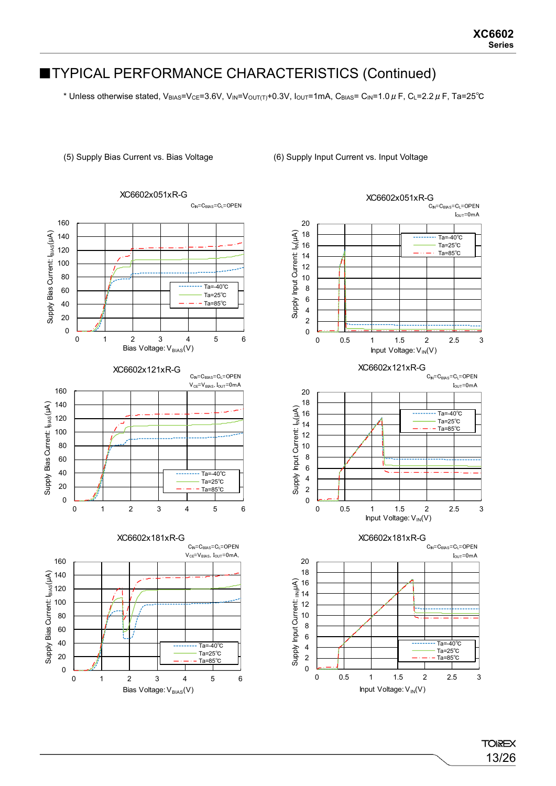### ■TYPICAL PERFORMANCE CHARACTERISTICS (Continued)

\* Unless otherwise stated, VBIAS=VcE=3.6V, VIN=VoUT(T)+0.3V, IoUT=1mA, CBIAS= CIN=1.0 μF, CL=2.2 μF, Ta=25°C



(5) Supply Bias Current vs. Bias Voltage (6) Supply Input Current vs. Input Voltage



**TOREX** 13/26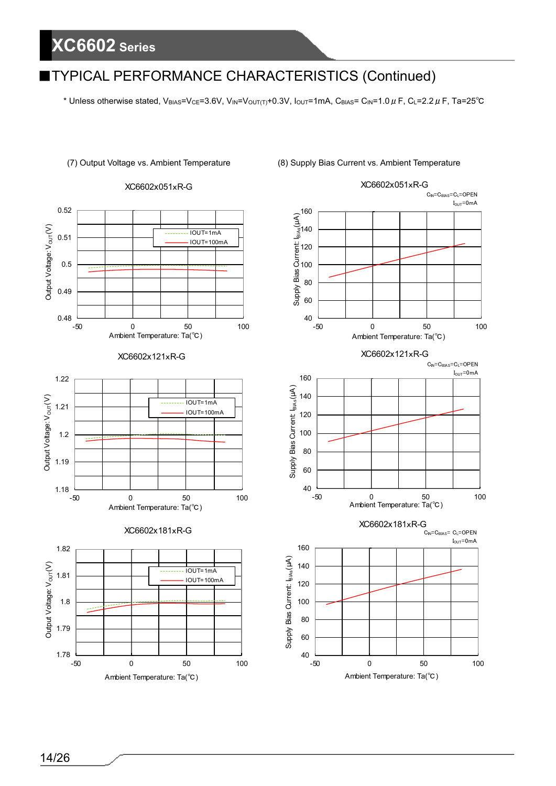### TYPICAL PERFORMANCE CHARACTERISTICS (Continued)

\* Unless otherwise stated, V<sub>BIAS</sub>=V<sub>CE</sub>=3.6V, V<sub>IN</sub>=V<sub>OUT(T)</sub>+0.3V, I<sub>OUT</sub>=1mA, C<sub>BIAS</sub>= C<sub>IN</sub>=1.0  $\mu$  F, C<sub>L</sub>=2.2  $\mu$  F, Ta=25°C



### 14/26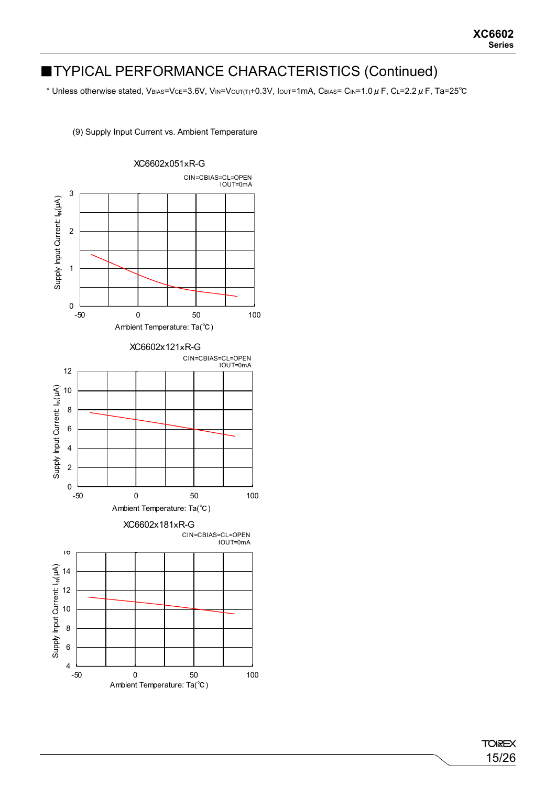### ■TYPICAL PERFORMANCE CHARACTERISTICS (Continued)

\* Unless otherwise stated, V<sub>BIAS</sub>=V<sub>CE</sub>=3.6V, V<sub>IN</sub>=V<sub>OUT(T)</sub>+0.3V, I<sub>OUT</sub>=1mA, C<sub>BIAS</sub>= C<sub>IN</sub>=1.0  $\mu$  F, C<sub>L</sub>=2.2  $\mu$  F, Ta=25°C





**TOIREX** 15/26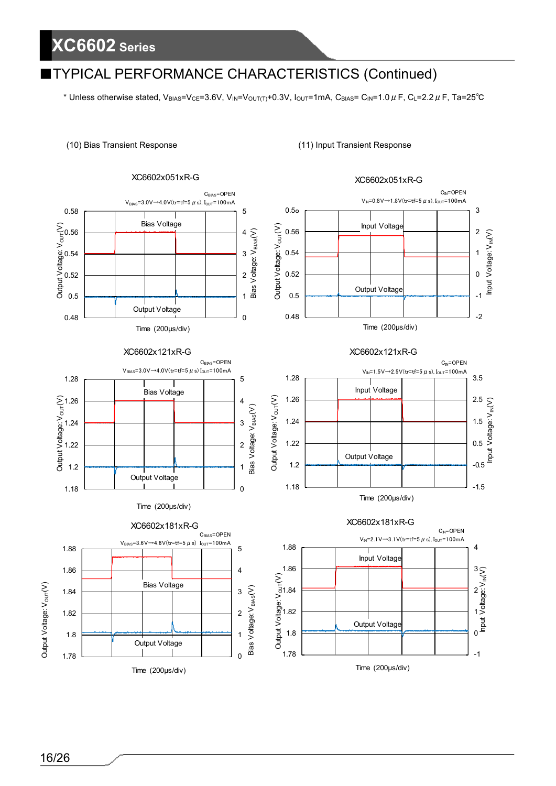### TYPICAL PERFORMANCE CHARACTERISTICS (Continued)

\* Unless otherwise stated, V<sub>BIAS</sub>=V<sub>CE</sub>=3.6V, V<sub>IN</sub>=V<sub>OUT(T)</sub>+0.3V, I<sub>OUT</sub>=1mA, C<sub>BIAS</sub>= C<sub>IN</sub>=1.0  $\mu$  F, C<sub>L</sub>=2.2  $\mu$  F, Ta=25°C

#### (10) Bias Transient Response (11) Input Transient Response

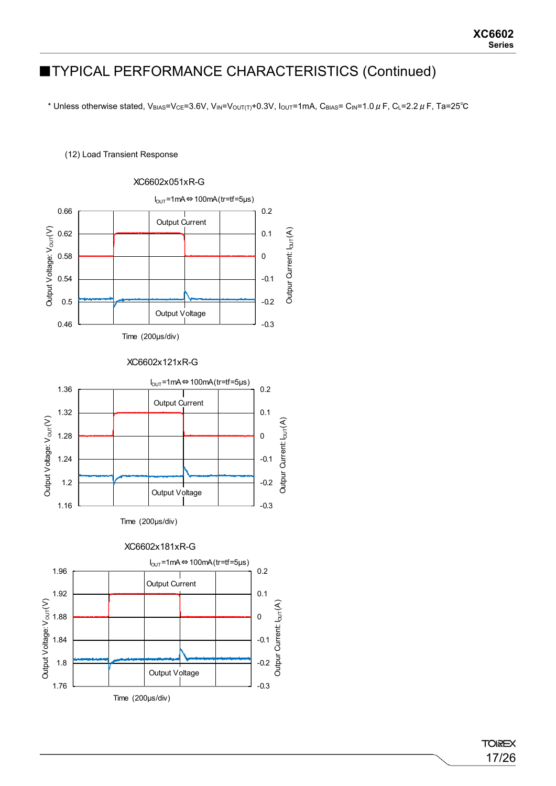### ■TYPICAL PERFORMANCE CHARACTERISTICS (Continued)

\* Unless otherwise stated, VBIAS=VCE=3.6V, VIN=VOUT(T)+0.3V, IOUT=1mA, CBIAS= CIN=1.0  $\mu$  F, CL=2.2  $\mu$  F, Ta=25°C

#### (12) Load Transient Response





Time (200μs/div)



**TOIREX** 17/26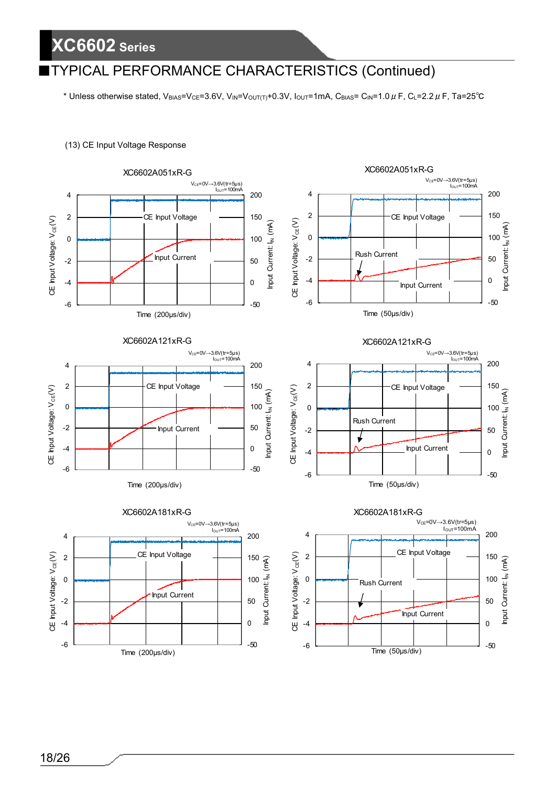### YPICAL PERFORMANCE CHARACTERISTICS (Continued)

\* Unless otherwise stated, VBIAS=VcE=3.6V, VIN=VOUT(T)+0.3V, IOUT=1mA, CBIAS= CIN=1.0 μF, CL=2.2 μF, Ta=25°C

#### (13) CE Input Voltage Response

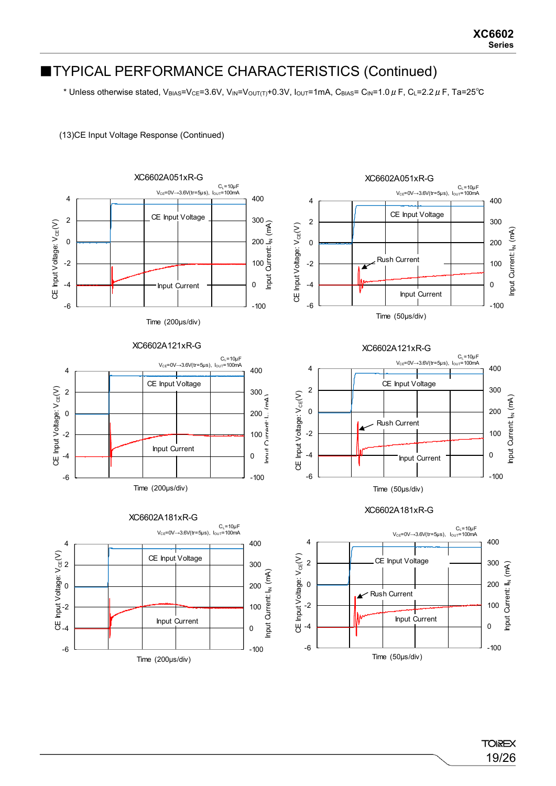### ■TYPICAL PERFORMANCE CHARACTERISTICS (Continued)

\* Unless otherwise stated, VBIAS=VCE=3.6V, VIN=VOUT(T)+0.3V, IOUT=1mA, CBIAS= CIN=1.0  $\mu$  F, CL=2.2  $\mu$  F, Ta=25°C

#### (13)CE Input Voltage Response (Continued)

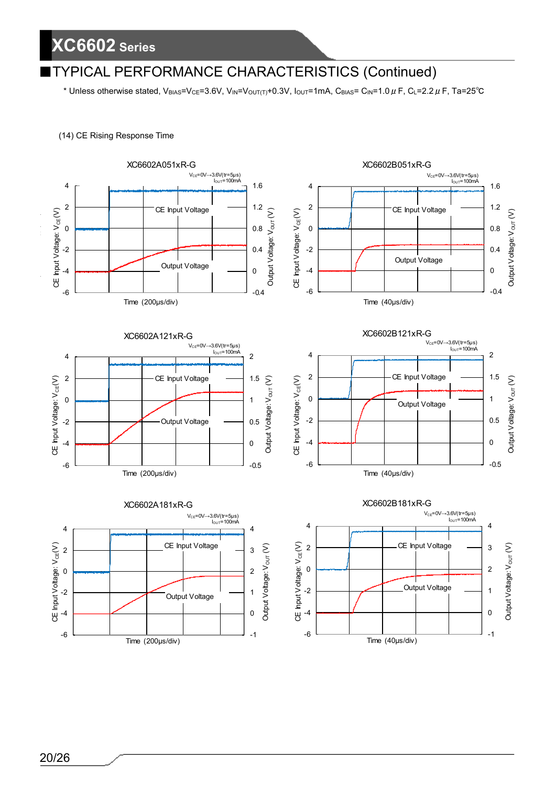### TYPICAL PERFORMANCE CHARACTERISTICS (Continued)

\* Unless otherwise stated, VBIAS=VCE=3.6V, VIN=VOUT(T)+0.3V, IOUT=1mA, CBIAS= CIN=1.0  $\mu$  F, CL=2.2  $\mu$  F, Ta=25°C



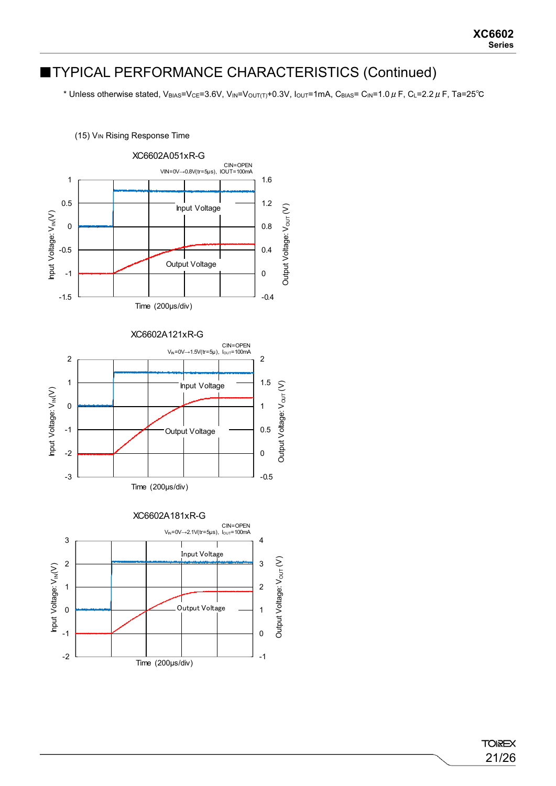### ■TYPICAL PERFORMANCE CHARACTERISTICS (Continued)

\* Unless otherwise stated, V<sub>BIAS</sub>=V<sub>CE</sub>=3.6V, V<sub>IN</sub>=V<sub>OUT(T)</sub>+0.3V, I<sub>OUT</sub>=1mA, C<sub>BIAS</sub>= C<sub>IN</sub>=1.0  $\mu$  F, C<sub>L</sub>=2.2  $\mu$  F, Ta=25°C



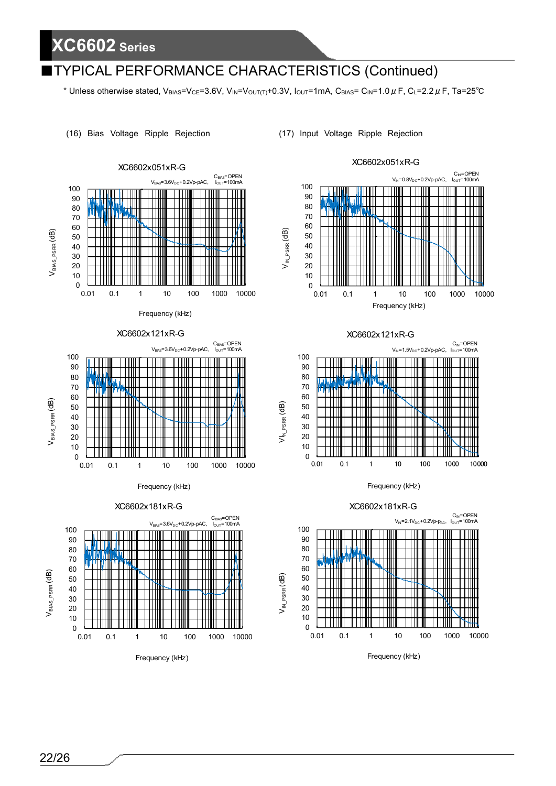### TYPICAL PERFORMANCE CHARACTERISTICS (Continued)

\* Unless otherwise stated, VBIAS=VcE=3.6V, VIN=VOUT(T)+0.3V, IOUT=1mA, CBIAS= CIN=1.0 μF, CL=2.2 μF, Ta=25°C

 $V\vert_{\sf N}$   $_{\sf PSRR}$  (dB)

 $VI_N$ <sub>PSRR</sub> $(dB)$ 

 $V_{\,\rm N}$   $_{\rm PSRR}$  (dB)

 $V_{N\_PSRR}(dB)$ 

#### (16) Bias Voltage Ripple Rejection (17) Input Voltage Ripple Rejection

XC6602x051xR-G  $C_{\text{BIAS}}$ =OPEN<br> $I_{\text{OUT}}$ =100mA  $V_{\text{BIAS}} = 3.6V_{\text{DC}} + 0.2V_{\text{D}} - \text{pAC}$ 100 90 80 70 60  $V_{\rm BIAS\_PSRR}(\rm dB)$  $V_{\sf BIAS\_PSRR}(\text{dB})$ 50 Ш 40 30 20 10  $\begin{array}{c} 0 \\ 0.01 \end{array}$ 0.01 0.1 1 10 100 1000 10000







Frequency (kHz)





XC6602x121xR-G



Frequency (kHz)



Frequency (kHz)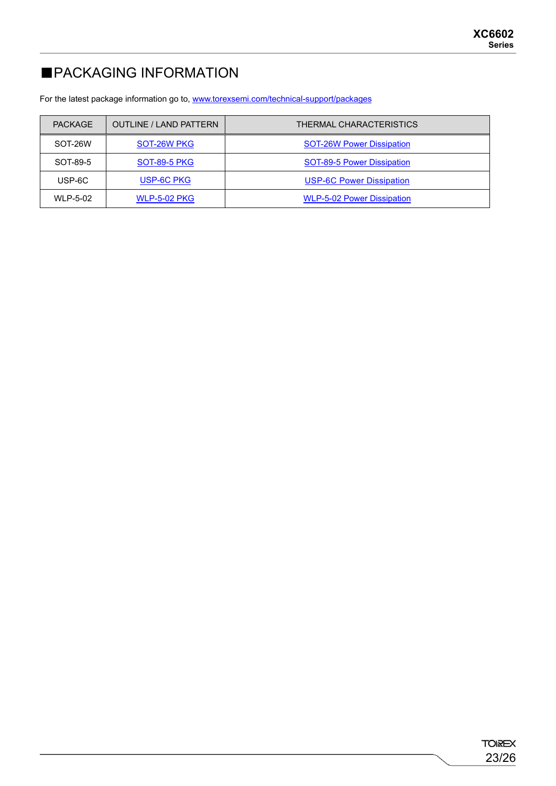## ■PACKAGING INFORMATION

For the latest package information go to, [www.torexsemi.com/technical-support/packages](https://www.torexsemi.com/technical-support/packages/)

| <b>PACKAGE</b> | <b>OUTLINE / LAND PATTERN</b> | THERMAL CHARACTERISTICS           |
|----------------|-------------------------------|-----------------------------------|
| SOT-26W        | SOT-26W PKG                   | <b>SOT-26W Power Dissipation</b>  |
| SOT-89-5       | <b>SOT-89-5 PKG</b>           | SOT-89-5 Power Dissipation        |
| USP-6C         | USP-6C PKG                    | <b>USP-6C Power Dissipation</b>   |
| WLP-5-02       | <b>WLP-5-02 PKG</b>           | <b>WLP-5-02 Power Dissipation</b> |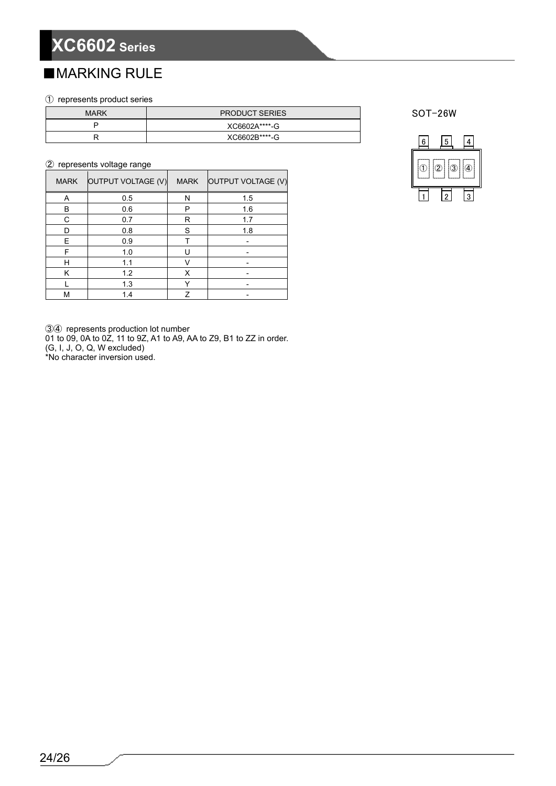### ■**MARKING RULE**

#### ① represents product series

| <b>MARK</b> | <b>PRODUCT SERIES</b> |
|-------------|-----------------------|
|             | XC6602A****-G         |
|             | XC6602B****-G         |

#### ② represents voltage range

| <b>MARK</b> | <b>OUTPUT VOLTAGE (V)</b> | <b>MARK</b> | OUTPUT VOLTAGE (V) |
|-------------|---------------------------|-------------|--------------------|
| A           | 0.5                       | N           | 1.5                |
| в           | 0.6                       | P           | 1.6                |
| C           | 0.7                       | R           | 1.7                |
| D           | 0.8                       | S           | 1.8                |
| Е           | 0.9                       |             |                    |
| F           | 1.0                       |             |                    |
| н           | 1.1                       |             |                    |
| Κ           | 1.2                       | X           |                    |
|             | 1.3                       |             |                    |
| м           | 1.4                       | 7           |                    |

③④ represents production lot number 01 to 09, 0A to 0Z, 11 to 9Z, A1 to A9, AA to Z9, B1 to ZZ in order. (G, I, J, O, Q, W excluded) \*No character inversion used.

#### SOT-26W

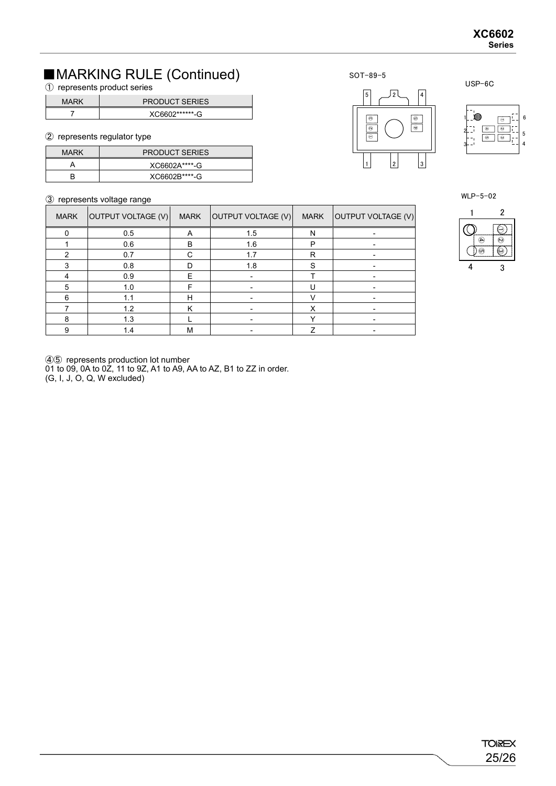USP-6C

## ■MARKING RULE (Continued)

① represents product series

| <b>PRODUCT SERIES</b> |
|-----------------------|
| XC6602*******-G       |

#### ② represents regulator type

| <b>MARK</b> | <b>PRODUCT SERIES</b> |
|-------------|-----------------------|
|             | XC6602A****-G         |
|             | XC6602B****-G         |

MARK OUTPUT VOLTAGE (V) MARK OUTPUT VOLTAGE (V) MARK OUTPUT VOLTAGE (V)

0 0 0.5 A 1.5 N N -1 0.6 B 2.6 P -2 0.7 C 1.7 R . 3 0.8 D 1.8 S -4 0.9 E D - T D -5 | 1.0 | F | - | U | -6 | 1.1 | H | - | V | -7 | 1.2 | K | - | X | -8 | 1.3 | L | - | Y | -9 | 1.4 | M | - | Z | -

#### ③ represents voltage range



 $1 \mid 2 \mid 3$ 



WLP-5-02

|   |    | 2 |
|---|----|---|
|   |    |   |
|   |    | ត |
|   | ତା |   |
| 4 |    | 3 |

|  |  |  | 45 represents production lot number |
|--|--|--|-------------------------------------|
|--|--|--|-------------------------------------|

01 to 09, 0A to 0Z, 11 to 9Z, A1 to A9, AA to AZ, B1 to ZZ in order.

(G, I, J, O, Q, W excluded)